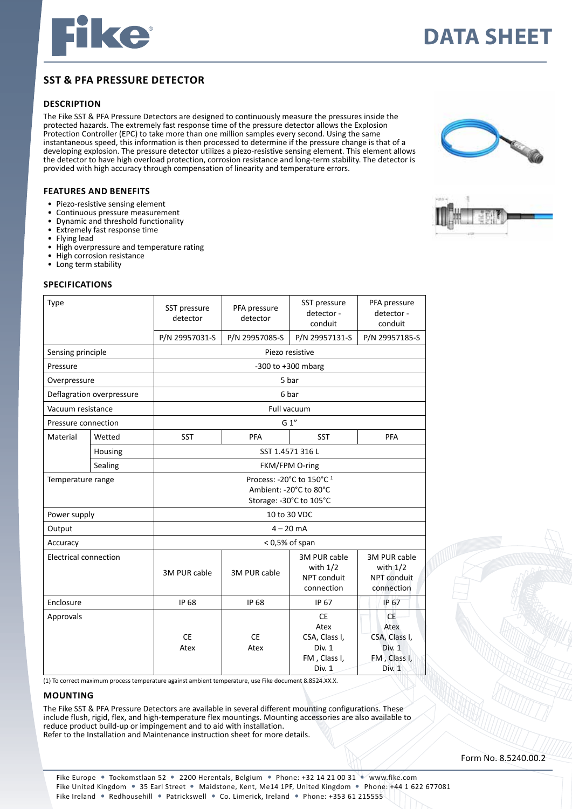

# **Data sheet**

## **sst & pfa pressure detector**

### **DESCRIption**

The Fike SST & PFA Pressure Detectors are designed to continuously measure the pressures inside the protected hazards. The extremely fast response time of the pressure detector allows the Explosion Protection Controller (EPC) to take more than one million samples every second. Using the same instantaneous speed, this information is then processed to determine if the pressure change is that of a developing explosion. The pressure detector utilizes a piezo-resistive sensing element. This element allows the detector to have high overload protection, corrosion resistance and long-term stability. The detector is provided with high accuracy through compensation of linearity and temperature errors.

#### **features and benefits**

- • Piezo-resistive sensing element
- Continuous pressure measurement
- Dynamic and threshold functionality
- Extremely fast response time
- Flying lead
- High overpressure and temperature rating
- **High corrosion resistance**
- Long term stability

#### **specifications**

| Type                         |         | SST pressure<br>detector                                                                  | PFA pressure<br>detector | SST pressure<br>detector -<br>conduit                                  | PFA pressure<br>detector -<br>conduit                                         |
|------------------------------|---------|-------------------------------------------------------------------------------------------|--------------------------|------------------------------------------------------------------------|-------------------------------------------------------------------------------|
|                              |         | P/N 29957031-S                                                                            | P/N 29957085-S           | P/N 29957131-S                                                         | P/N 29957185-S                                                                |
| Sensing principle            |         | Piezo resistive                                                                           |                          |                                                                        |                                                                               |
| Pressure                     |         | -300 to $+300$ mbarg                                                                      |                          |                                                                        |                                                                               |
| Overpressure                 |         | 5 bar                                                                                     |                          |                                                                        |                                                                               |
| Deflagration overpressure    |         | 6 bar                                                                                     |                          |                                                                        |                                                                               |
| Vacuum resistance            |         | Full vacuum                                                                               |                          |                                                                        |                                                                               |
| Pressure connection          |         | G 1"                                                                                      |                          |                                                                        |                                                                               |
| Material                     | Wetted  | <b>SST</b>                                                                                | <b>PFA</b>               | <b>SST</b>                                                             | PFA                                                                           |
|                              | Housing | SST 1.4571 316 L                                                                          |                          |                                                                        |                                                                               |
|                              | Sealing | FKM/FPM O-ring                                                                            |                          |                                                                        |                                                                               |
| Temperature range            |         | Process: -20°C to 150°C <sup>1</sup><br>Ambient: -20°C to 80°C<br>Storage: -30°C to 105°C |                          |                                                                        |                                                                               |
| Power supply                 |         | 10 to 30 VDC                                                                              |                          |                                                                        |                                                                               |
| Output                       |         | $4 - 20$ mA                                                                               |                          |                                                                        |                                                                               |
| Accuracy                     |         | $<$ 0,5% of span                                                                          |                          |                                                                        |                                                                               |
| <b>Electrical connection</b> |         | 3M PUR cable                                                                              | 3M PUR cable             | 3M PUR cable<br>with $1/2$<br>NPT conduit<br>connection                | 3M PUR cable<br>with $1/2$<br>NPT conduit<br>connection                       |
| Enclosure                    |         | <b>IP 68</b>                                                                              | <b>IP 68</b>             | IP 67                                                                  | IP 67                                                                         |
| Approvals                    |         | <b>CE</b><br>Atex                                                                         | <b>CE</b><br>Atex        | <b>CE</b><br>Atex<br>CSA, Class I,<br>Div. 1<br>FM, Class I,<br>Div. 1 | <b>CE</b><br>Atex<br>CSA, Class I,<br>Div. 1<br>FM, Class I,<br><b>Div. 1</b> |
|                              |         |                                                                                           | $m \leq 1$               | 0.0534 M11                                                             |                                                                               |

(1) To correct maximum process temperature against ambient temperature, use Fike document 8.8524.XX.X.

#### **mounting**

The Fike SST & PFA Pressure Detectors are available in several different mounting configurations. These include flush, rigid, flex, and high-temperature flex mountings. Mounting accessories are also available to reduce product build-up or impingement and to aid with installation. Refer to the Installation and Maintenance instruction sheet for more details.





Form No. 8.5240.00.2